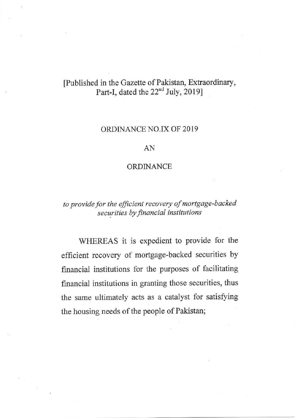# [Published in the Gazette of Pakistan, Extraordinary, Part-I, dated the 22<sup>nd</sup> July, 2019]

### ORDINANCE NO.IX OF 2019

### AN

#### ORDINANCE

## to provide for the efficient recovery of mortgage-backed securities by financial institutions

WHEREAS it is expedient to provide for the e{ficient recovery of mortgage-backed securities by financial institutions for the purposes of facilitating financial institutions in granting those securities, thus the same ultimately acts as a catalyst for satisfying the housing needs of the people of Pakistan;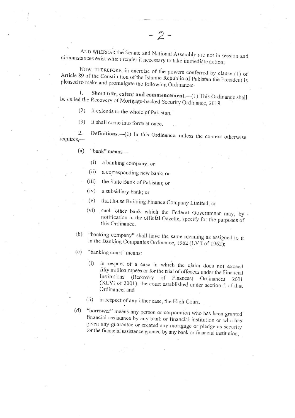AND WHEREAS the Senate and National Assembly are not in session and circumstances exist which render it necessary to take immediate action;

 $-2-$ 

NOW, THEREFORE, in exercise of the powers conferred by clause (1) of Article 89 of the Constitution of the Islamic Republic of Pakistan the President is pleased to make and promulgate the following Ordinance:-

Short title, extent and commencement.-(1) This Ordinance shall 1. be called the Recovery of Mortgage-backed Security Ordinance, 2019.

It extends to the whole of Pakistan.  $(2)$ 

 $(3)$ It shall come into force at once.

Definitions.-(1) In this Ordinance, unless the context otherwise  $2.$ requires,-

- $(a)$  "bank" means
	- a banking company; or  $(i)$
	- $(ii)$ a corresponding new bank; or
	- the State Bank of Pakistan; or  $(iii)$
	- $(iv)$ a subsidiary bank; or
	- (v) the House Building Finance Company Limited; or
	- such other bank which the Federal Government may, by .  $(vi)$ notification in the official Gazette, specify for the purposes of this Ordinance.
- (b) "banking company" shall have the same meaning as assigned to it in the Banking Companies Ordinance, 1962 (LVII of 1962);
- $(c)$ "banking court" means:
	- in respect of a case in which the claim does not exceed  $(i)$ fifty million rupees or for the trial of offences under the Financial Institutions (Recovery of Finances) Ordinances 2001 (XLVI of 2001), the court established under section 5 of that Ordinance; and
	- in respect of any other case, the High Court.  $(ii)$
- "borrower" means any person or corporation who has been granted  $(d)$ financial assistance by any bank or financial institution or who has given any guarantee or created any mortgage or pledge as security for the financial assistance granted by any bank or financial institution;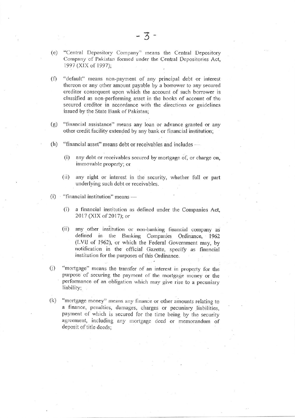- (e) "Central Depository Company" means the Central Depository Company of Pakistan formed under the Central Depositories Act, 1997 (XIX of 1997);
- $(f)$ "default" means non-payment of any principal debt or interest thereon or any other amount payable by a borrower to any secured creditor consequent upon which the account of such borrower is classified as non-performing asset in the books of account of the secured creditor in accordance with the directions or guidelines issued by the State Bank of Pakistan;
- $(g)$ "financial assistance" means any loan or advance granted or any other credit facility extended by any bank or financial institution;
- "financial asset" means debt or receivables and includes - $(h)$ 
	- $(i)$ any debt or receivables secured by mortgage of, or charge on, immovable property; or
	- $(ii)$ any right or interest in the security, whether full or part underlying such debt or receivables.
- $(i)$ "financial institution" means -
	- $(i)$ a financial institution as defined under the Companies Act, 2017 (XIX of 2017); or
	- any other institution or non-banking financial company as  $(ii)$ defined in the Banking Companies Ordinance, 1962 (LVII of 1962), or which the Federal Government may, by notification in the official Gazette, specify as financial institution for the purposes of this Ordinance.
- $(j)$ "mortgage" means the transfer of an interest in property for the purpose of securing the payment of the mortgage money or the performance of an obligation which may give rise to a pecuniary liability;
- $(k)$ "mortgage money" means any finance or other amounts relating to a finance, penalties, damages, charges or pecuniary liabilities, payment of which is secured for the time being by the security agreement, including any mortgage deed or memorandum of deposit of title deeds;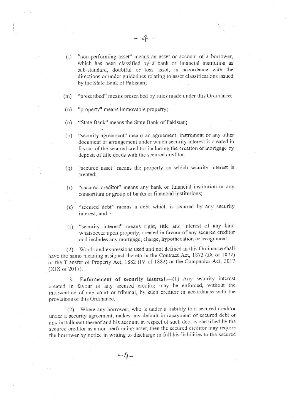- (I) "non-performing asset" means an asset or account of a borrower, which has been classified by a bank or financial institution as sub-standard, doubtful or loss asset, in accordance with the directions or under guidelines relating to asset classifications issued by the State Bank of Pakistan;
- "prescribed" means prescribed by rules made under this Ordinance;  $(m)$
- "property" means immovable property;  $(n)$
- "State Bank" means the State Bank of Pakistan;  $\circ$
- "security agreement" means an agreement, instrument or any other  $(p)$ document or arrangement under which security interest is created in favour of the secured creditor including the creation of mortgage by deposit of title deeds with the secured creditor;
- "secured asset" means the property on which security interest is  $(q)$ created;
- "secured creditor" means any bank or financial institution or any  $(r)$ consortium or group of banks or financial institutions;
- "secured debt" means a debt which is secured by any security  $(s)$ interest; and ·
- "security interest" means right, title and interest of any kind  $(t)$ whatsoever upon property, created in favour of any secured creditor and includes any mortgage, charge, hypothecation or assignment.

Words and expressions used and not defined in this Ordinance shall  $(2)$ have the same meaning assigned thereto in the Contract Act, 1872 (IX of 1872) or the Transfer of Property Act, 1882 (IV of 1882) or the Companies Act, 2017 (XIX of 2017).

3. Enforcement of security interest.- (1) Any security interest created in favour of any secured creditor may be enforced, without the intervention of any court or tribunal, by such creditor in accordance with the provisions of this Ordinance.

(2) Where any borrower, who is under a liability to a secured creditor under a security agreement, makes any default in repayment of secured debt or any installment thereof and his account in respect of such debt is classified by the secured creditor as a non-performing asset, then the secured creditor may require the borrower by notice in writing to discharge in full his liabilities to the secured

 $-4-$